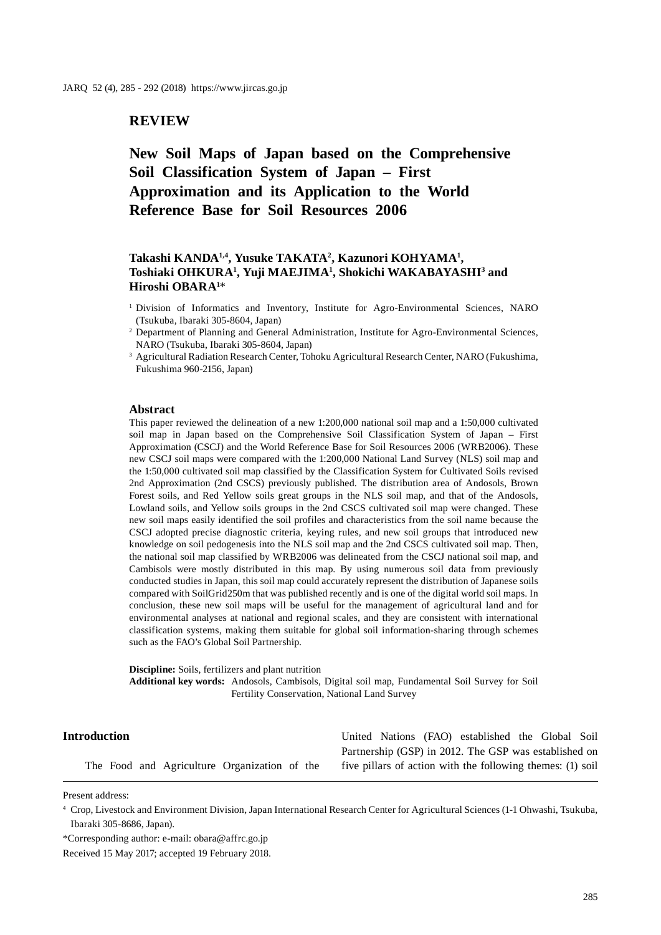# **REVIEW**

# **New Soil Maps of Japan based on the Comprehensive Soil Classification System of Japan – First Approximation and its Application to the World Reference Base for Soil Resources 2006**

# **Takashi KANDA1,4, Yusuke TAKATA2 , Kazunori KOHYAMA1 , Toshiaki OHKURA1 , Yuji MAEJIMA1 , Shokichi WAKABAYASHI3 and Hiroshi OBARA1** \*

<sup>1</sup> Division of Informatics and Inventory, Institute for Agro-Environmental Sciences, NARO (Tsukuba, Ibaraki 305-8604, Japan)

#### **Abstract**

This paper reviewed the delineation of a new 1:200,000 national soil map and a 1:50,000 cultivated soil map in Japan based on the Comprehensive Soil Classification System of Japan – First Approximation (CSCJ) and the World Reference Base for Soil Resources 2006 (WRB2006). These new CSCJ soil maps were compared with the 1:200,000 National Land Survey (NLS) soil map and the 1:50,000 cultivated soil map classified by the Classification System for Cultivated Soils revised 2nd Approximation (2nd CSCS) previously published. The distribution area of Andosols, Brown Forest soils, and Red Yellow soils great groups in the NLS soil map, and that of the Andosols, Lowland soils, and Yellow soils groups in the 2nd CSCS cultivated soil map were changed. These new soil maps easily identified the soil profiles and characteristics from the soil name because the CSCJ adopted precise diagnostic criteria, keying rules, and new soil groups that introduced new knowledge on soil pedogenesis into the NLS soil map and the 2nd CSCS cultivated soil map. Then, the national soil map classified by WRB2006 was delineated from the CSCJ national soil map, and Cambisols were mostly distributed in this map. By using numerous soil data from previously conducted studies in Japan, this soil map could accurately represent the distribution of Japanese soils compared with SoilGrid250m that was published recently and is one of the digital world soil maps. In conclusion, these new soil maps will be useful for the management of agricultural land and for environmental analyses at national and regional scales, and they are consistent with international classification systems, making them suitable for global soil information-sharing through schemes such as the FAO's Global Soil Partnership.

**Discipline:** Soils, fertilizers and plant nutrition **Additional key words:** Andosols, Cambisols, Digital soil map, Fundamental Soil Survey for Soil Fertility Conservation, National Land Survey

### **Introduction**

The Food and Agriculture Organization of the

United Nations (FAO) established the Global Soil Partnership (GSP) in 2012. The GSP was established on five pillars of action with the following themes: (1) soil

Present address:

<sup>&</sup>lt;sup>2</sup> Department of Planning and General Administration, Institute for Agro-Environmental Sciences, NARO (Tsukuba, Ibaraki 305-8604, Japan)

<sup>3</sup> Agricultural Radiation Research Center, Tohoku Agricultural Research Center, NARO (Fukushima, Fukushima 960-2156, Japan)

<sup>4</sup> Crop, Livestock and Environment Division, Japan International Research Center for Agricultural Sciences (1-1 Ohwashi, Tsukuba, Ibaraki 305-8686, Japan).

<sup>\*</sup>Corresponding author: e-mail: obara@affrc.go.jp

Received 15 May 2017; accepted 19 February 2018.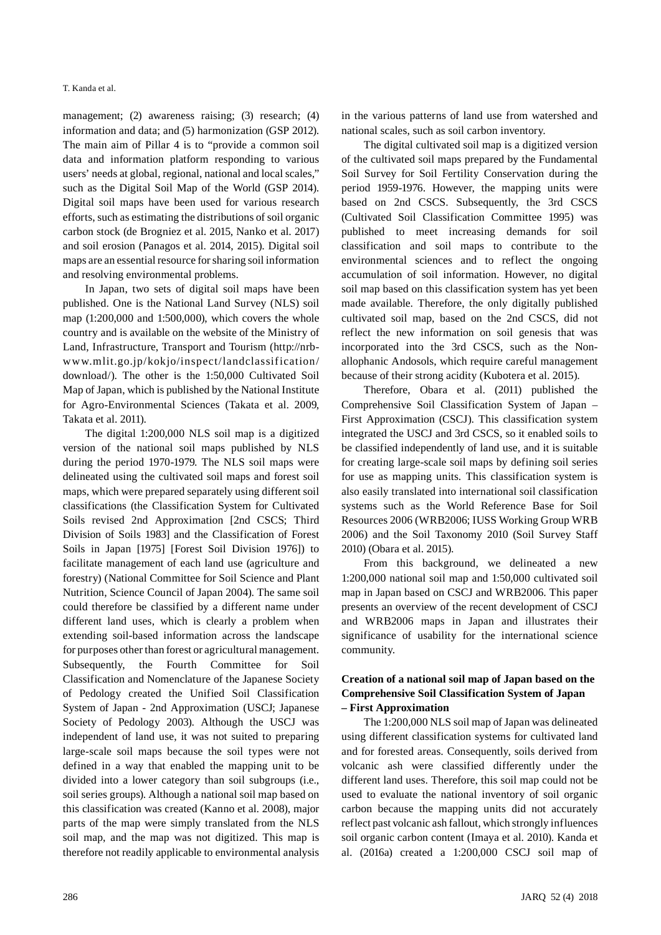management; (2) awareness raising; (3) research; (4) information and data; and (5) harmonization (GSP 2012). The main aim of Pillar 4 is to "provide a common soil data and information platform responding to various users' needs at global, regional, national and local scales," such as the Digital Soil Map of the World (GSP 2014). Digital soil maps have been used for various research efforts, such as estimating the distributions of soil organic carbon stock (de Brogniez et al. 2015, Nanko et al. 2017) and soil erosion (Panagos et al. 2014, 2015). Digital soil maps are an essential resource for sharing soil information and resolving environmental problems.

In Japan, two sets of digital soil maps have been published. One is the National Land Survey (NLS) soil map (1:200,000 and 1:500,000), which covers the whole country and is available on the website of the Ministry of Land, Infrastructure, Transport and Tourism (http://nrbwww.mlit.go.jp/kokjo/inspect/landclassification/ download/). The other is the 1:50,000 Cultivated Soil Map of Japan, which is published by the National Institute for Agro-Environmental Sciences (Takata et al. 2009, Takata et al. 2011).

The digital 1:200,000 NLS soil map is a digitized version of the national soil maps published by NLS during the period 1970-1979. The NLS soil maps were delineated using the cultivated soil maps and forest soil maps, which were prepared separately using different soil classifications (the Classification System for Cultivated Soils revised 2nd Approximation [2nd CSCS; Third Division of Soils 1983] and the Classification of Forest Soils in Japan [1975] [Forest Soil Division 1976]) to facilitate management of each land use (agriculture and forestry) (National Committee for Soil Science and Plant Nutrition, Science Council of Japan 2004). The same soil could therefore be classified by a different name under different land uses, which is clearly a problem when extending soil-based information across the landscape for purposes other than forest or agricultural management. Subsequently, the Fourth Committee for Soil Classification and Nomenclature of the Japanese Society of Pedology created the Unified Soil Classification System of Japan - 2nd Approximation (USCJ; Japanese Society of Pedology 2003). Although the USCJ was independent of land use, it was not suited to preparing large-scale soil maps because the soil types were not defined in a way that enabled the mapping unit to be divided into a lower category than soil subgroups (i.e., soil series groups). Although a national soil map based on this classification was created (Kanno et al. 2008), major parts of the map were simply translated from the NLS soil map, and the map was not digitized. This map is therefore not readily applicable to environmental analysis

The digital cultivated soil map is a digitized version of the cultivated soil maps prepared by the Fundamental Soil Survey for Soil Fertility Conservation during the period 1959-1976. However, the mapping units were based on 2nd CSCS. Subsequently, the 3rd CSCS (Cultivated Soil Classification Committee 1995) was published to meet increasing demands for soil classification and soil maps to contribute to the environmental sciences and to reflect the ongoing accumulation of soil information. However, no digital soil map based on this classification system has yet been made available. Therefore, the only digitally published cultivated soil map, based on the 2nd CSCS, did not reflect the new information on soil genesis that was incorporated into the 3rd CSCS, such as the Nonallophanic Andosols, which require careful management because of their strong acidity (Kubotera et al. 2015).

Therefore, Obara et al. (2011) published the Comprehensive Soil Classification System of Japan – First Approximation (CSCJ). This classification system integrated the USCJ and 3rd CSCS, so it enabled soils to be classified independently of land use, and it is suitable for creating large-scale soil maps by defining soil series for use as mapping units. This classification system is also easily translated into international soil classification systems such as the World Reference Base for Soil Resources 2006 (WRB2006; IUSS Working Group WRB 2006) and the Soil Taxonomy 2010 (Soil Survey Staff 2010) (Obara et al. 2015).

From this background, we delineated a new 1:200,000 national soil map and 1:50,000 cultivated soil map in Japan based on CSCJ and WRB2006. This paper presents an overview of the recent development of CSCJ and WRB2006 maps in Japan and illustrates their significance of usability for the international science community.

# **Creation of a national soil map of Japan based on the Comprehensive Soil Classification System of Japan – First Approximation**

The 1:200,000 NLS soil map of Japan was delineated using different classification systems for cultivated land and for forested areas. Consequently, soils derived from volcanic ash were classified differently under the different land uses. Therefore, this soil map could not be used to evaluate the national inventory of soil organic carbon because the mapping units did not accurately reflect past volcanic ash fallout, which strongly influences soil organic carbon content (Imaya et al. 2010). Kanda et al. (2016a) created a 1:200,000 CSCJ soil map of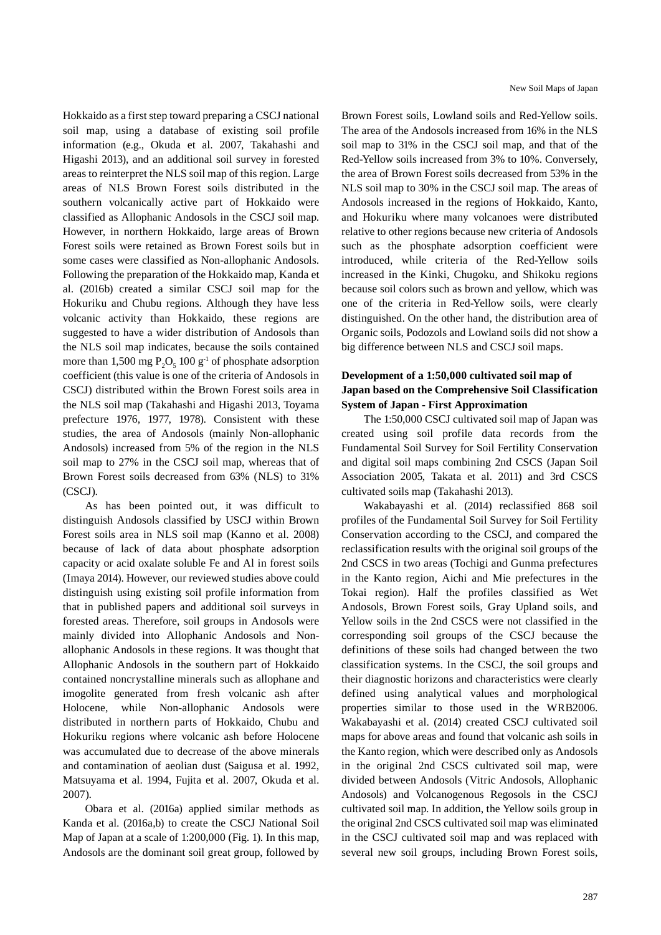Hokkaido as a first step toward preparing a CSCJ national soil map, using a database of existing soil profile information (e.g., Okuda et al. 2007, Takahashi and Higashi 2013), and an additional soil survey in forested areas to reinterpret the NLS soil map of this region. Large areas of NLS Brown Forest soils distributed in the southern volcanically active part of Hokkaido were classified as Allophanic Andosols in the CSCJ soil map. However, in northern Hokkaido, large areas of Brown Forest soils were retained as Brown Forest soils but in some cases were classified as Non-allophanic Andosols. Following the preparation of the Hokkaido map, Kanda et al. (2016b) created a similar CSCJ soil map for the Hokuriku and Chubu regions. Although they have less volcanic activity than Hokkaido, these regions are suggested to have a wider distribution of Andosols than the NLS soil map indicates, because the soils contained more than 1,500 mg  $P_2O_5$  100 g<sup>-1</sup> of phosphate adsorption coefficient (this value is one of the criteria of Andosols in CSCJ) distributed within the Brown Forest soils area in the NLS soil map (Takahashi and Higashi 2013, Toyama prefecture 1976, 1977, 1978). Consistent with these studies, the area of Andosols (mainly Non-allophanic Andosols) increased from 5% of the region in the NLS soil map to 27% in the CSCJ soil map, whereas that of Brown Forest soils decreased from 63% (NLS) to 31% (CSCJ).

As has been pointed out, it was difficult to distinguish Andosols classified by USCJ within Brown Forest soils area in NLS soil map (Kanno et al. 2008) because of lack of data about phosphate adsorption capacity or acid oxalate soluble Fe and Al in forest soils (Imaya 2014). However, our reviewed studies above could distinguish using existing soil profile information from that in published papers and additional soil surveys in forested areas. Therefore, soil groups in Andosols were mainly divided into Allophanic Andosols and Nonallophanic Andosols in these regions. It was thought that Allophanic Andosols in the southern part of Hokkaido contained noncrystalline minerals such as allophane and imogolite generated from fresh volcanic ash after Holocene, while Non-allophanic Andosols were distributed in northern parts of Hokkaido, Chubu and Hokuriku regions where volcanic ash before Holocene was accumulated due to decrease of the above minerals and contamination of aeolian dust (Saigusa et al. 1992, Matsuyama et al. 1994, Fujita et al. 2007, Okuda et al. 2007).

Obara et al. (2016a) applied similar methods as Kanda et al. (2016a,b) to create the CSCJ National Soil Map of Japan at a scale of 1:200,000 (Fig. 1). In this map, Andosols are the dominant soil great group, followed by Brown Forest soils, Lowland soils and Red-Yellow soils. The area of the Andosols increased from 16% in the NLS soil map to 31% in the CSCJ soil map, and that of the Red-Yellow soils increased from 3% to 10%. Conversely, the area of Brown Forest soils decreased from 53% in the NLS soil map to 30% in the CSCJ soil map. The areas of Andosols increased in the regions of Hokkaido, Kanto, and Hokuriku where many volcanoes were distributed relative to other regions because new criteria of Andosols such as the phosphate adsorption coefficient were introduced, while criteria of the Red-Yellow soils increased in the Kinki, Chugoku, and Shikoku regions because soil colors such as brown and yellow, which was one of the criteria in Red-Yellow soils, were clearly distinguished. On the other hand, the distribution area of Organic soils, Podozols and Lowland soils did not show a big difference between NLS and CSCJ soil maps.

# **Development of a 1:50,000 cultivated soil map of Japan based on the Comprehensive Soil Classification System of Japan - First Approximation**

The 1:50,000 CSCJ cultivated soil map of Japan was created using soil profile data records from the Fundamental Soil Survey for Soil Fertility Conservation and digital soil maps combining 2nd CSCS (Japan Soil Association 2005, Takata et al. 2011) and 3rd CSCS cultivated soils map (Takahashi 2013).

Wakabayashi et al. (2014) reclassified 868 soil profiles of the Fundamental Soil Survey for Soil Fertility Conservation according to the CSCJ, and compared the reclassification results with the original soil groups of the 2nd CSCS in two areas (Tochigi and Gunma prefectures in the Kanto region, Aichi and Mie prefectures in the Tokai region). Half the profiles classified as Wet Andosols, Brown Forest soils, Gray Upland soils, and Yellow soils in the 2nd CSCS were not classified in the corresponding soil groups of the CSCJ because the definitions of these soils had changed between the two classification systems. In the CSCJ, the soil groups and their diagnostic horizons and characteristics were clearly defined using analytical values and morphological properties similar to those used in the WRB2006. Wakabayashi et al. (2014) created CSCJ cultivated soil maps for above areas and found that volcanic ash soils in the Kanto region, which were described only as Andosols in the original 2nd CSCS cultivated soil map, were divided between Andosols (Vitric Andosols, Allophanic Andosols) and Volcanogenous Regosols in the CSCJ cultivated soil map. In addition, the Yellow soils group in the original 2nd CSCS cultivated soil map was eliminated in the CSCJ cultivated soil map and was replaced with several new soil groups, including Brown Forest soils,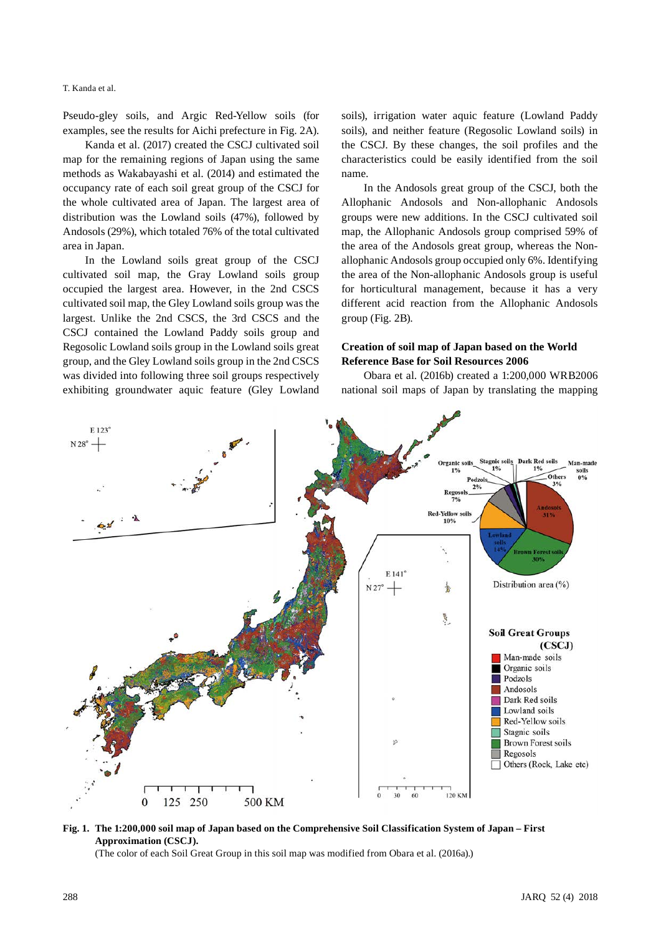Pseudo-gley soils, and Argic Red-Yellow soils (for examples, see the results for Aichi prefecture in Fig. 2A).

Kanda et al. (2017) created the CSCJ cultivated soil map for the remaining regions of Japan using the same methods as Wakabayashi et al. (2014) and estimated the occupancy rate of each soil great group of the CSCJ for the whole cultivated area of Japan. The largest area of distribution was the Lowland soils (47%), followed by Andosols (29%), which totaled 76% of the total cultivated area in Japan.

In the Lowland soils great group of the CSCJ cultivated soil map, the Gray Lowland soils group occupied the largest area. However, in the 2nd CSCS cultivated soil map, the Gley Lowland soils group was the largest. Unlike the 2nd CSCS, the 3rd CSCS and the CSCJ contained the Lowland Paddy soils group and Regosolic Lowland soils group in the Lowland soils great group, and the Gley Lowland soils group in the 2nd CSCS was divided into following three soil groups respectively exhibiting groundwater aquic feature (Gley Lowland soils), irrigation water aquic feature (Lowland Paddy soils), and neither feature (Regosolic Lowland soils) in the CSCJ. By these changes, the soil profiles and the characteristics could be easily identified from the soil name.

In the Andosols great group of the CSCJ, both the Allophanic Andosols and Non-allophanic Andosols groups were new additions. In the CSCJ cultivated soil map, the Allophanic Andosols group comprised 59% of the area of the Andosols great group, whereas the Nonallophanic Andosols group occupied only 6%. Identifying the area of the Non-allophanic Andosols group is useful for horticultural management, because it has a very different acid reaction from the Allophanic Andosols group (Fig. 2B).

### **Creation of soil map of Japan based on the World Reference Base for Soil Resources 2006**

Obara et al. (2016b) created a 1:200,000 WRB2006 national soil maps of Japan by translating the mapping



**Fig. 1. The 1:200,000 soil map of Japan based on the Comprehensive Soil Classification System of Japan – First Approximation (CSCJ).**

(The color of each Soil Great Group in this soil map was modified from Obara et al. (2016a).)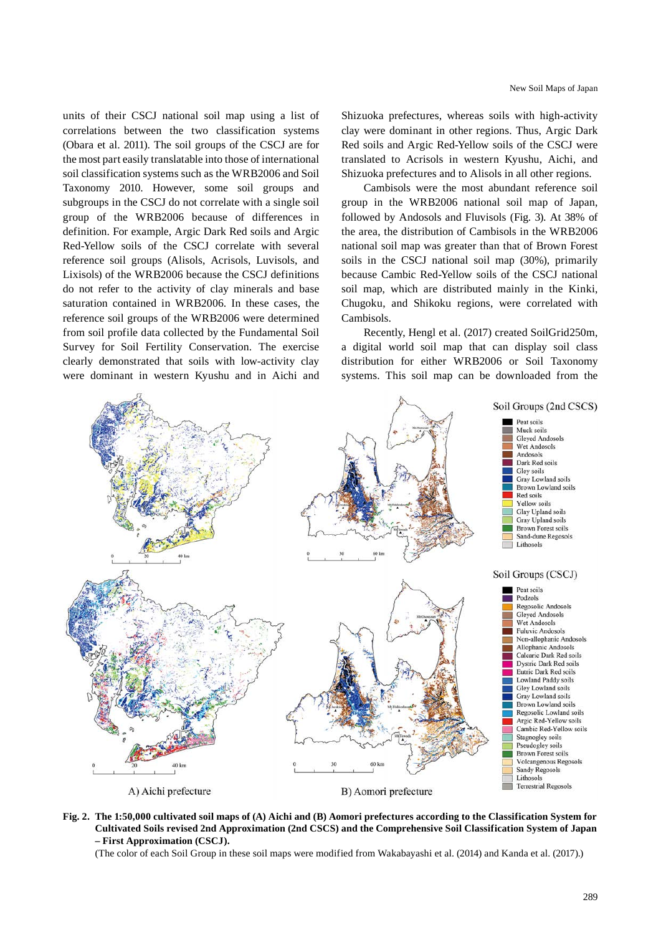units of their CSCJ national soil map using a list of correlations between the two classification systems (Obara et al. 2011). The soil groups of the CSCJ are for the most part easily translatable into those of international soil classification systems such as the WRB2006 and Soil Taxonomy 2010. However, some soil groups and subgroups in the CSCJ do not correlate with a single soil group of the WRB2006 because of differences in definition. For example, Argic Dark Red soils and Argic Red-Yellow soils of the CSCJ correlate with several reference soil groups (Alisols, Acrisols, Luvisols, and Lixisols) of the WRB2006 because the CSCJ definitions do not refer to the activity of clay minerals and base saturation contained in WRB2006. In these cases, the reference soil groups of the WRB2006 were determined from soil profile data collected by the Fundamental Soil Survey for Soil Fertility Conservation. The exercise clearly demonstrated that soils with low-activity clay were dominant in western Kyushu and in Aichi and

Shizuoka prefectures, whereas soils with high-activity clay were dominant in other regions. Thus, Argic Dark Red soils and Argic Red-Yellow soils of the CSCJ were translated to Acrisols in western Kyushu, Aichi, and Shizuoka prefectures and to Alisols in all other regions.

Cambisols were the most abundant reference soil group in the WRB2006 national soil map of Japan, followed by Andosols and Fluvisols (Fig. 3). At 38% of the area, the distribution of Cambisols in the WRB2006 national soil map was greater than that of Brown Forest soils in the CSCJ national soil map (30%), primarily because Cambic Red-Yellow soils of the CSCJ national soil map, which are distributed mainly in the Kinki, Chugoku, and Shikoku regions, were correlated with Cambisols.

Recently, Hengl et al. (2017) created SoilGrid250m, a digital world soil map that can display soil class distribution for either WRB2006 or Soil Taxonomy systems. This soil map can be downloaded from the



**Fig. 2. The 1:50,000 cultivated soil maps of (A) Aichi and (B) Aomori prefectures according to the Classification System for Cultivated Soils revised 2nd Approximation (2nd CSCS) and the Comprehensive Soil Classification System of Japan – First Approximation (CSCJ).**

(The color of each Soil Group in these soil maps were modified from Wakabayashi et al. (2014) and Kanda et al. (2017).)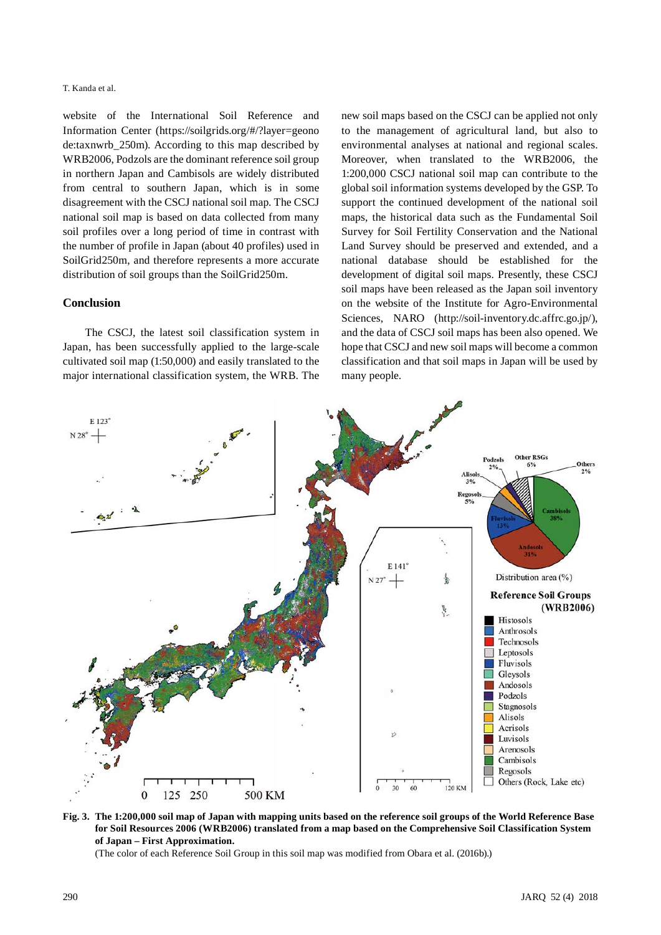website of the International Soil Reference and Information Center (https://soilgrids.org/#/?layer=geono de:taxnwrb\_250m). According to this map described by WRB2006, Podzols are the dominant reference soil group in northern Japan and Cambisols are widely distributed from central to southern Japan, which is in some disagreement with the CSCJ national soil map. The CSCJ national soil map is based on data collected from many soil profiles over a long period of time in contrast with the number of profile in Japan (about 40 profiles) used in SoilGrid250m, and therefore represents a more accurate distribution of soil groups than the SoilGrid250m.

### **Conclusion**

The CSCJ, the latest soil classification system in Japan, has been successfully applied to the large-scale cultivated soil map (1:50,000) and easily translated to the major international classification system, the WRB. The new soil maps based on the CSCJ can be applied not only to the management of agricultural land, but also to environmental analyses at national and regional scales. Moreover, when translated to the WRB2006, the 1:200,000 CSCJ national soil map can contribute to the global soil information systems developed by the GSP. To support the continued development of the national soil maps, the historical data such as the Fundamental Soil Survey for Soil Fertility Conservation and the National Land Survey should be preserved and extended, and a national database should be established for the development of digital soil maps. Presently, these CSCJ soil maps have been released as the Japan soil inventory on the website of the Institute for Agro-Environmental Sciences, NARO (http://soil-inventory.dc.affrc.go.jp/), and the data of CSCJ soil maps has been also opened. We hope that CSCJ and new soil maps will become a common classification and that soil maps in Japan will be used by many people.



**Fig. 3. The 1:200,000 soil map of Japan with mapping units based on the reference soil groups of the World Reference Base for Soil Resources 2006 (WRB2006) translated from a map based on the Comprehensive Soil Classification System of Japan – First Approximation.**

(The color of each Reference Soil Group in this soil map was modified from Obara et al. (2016b).)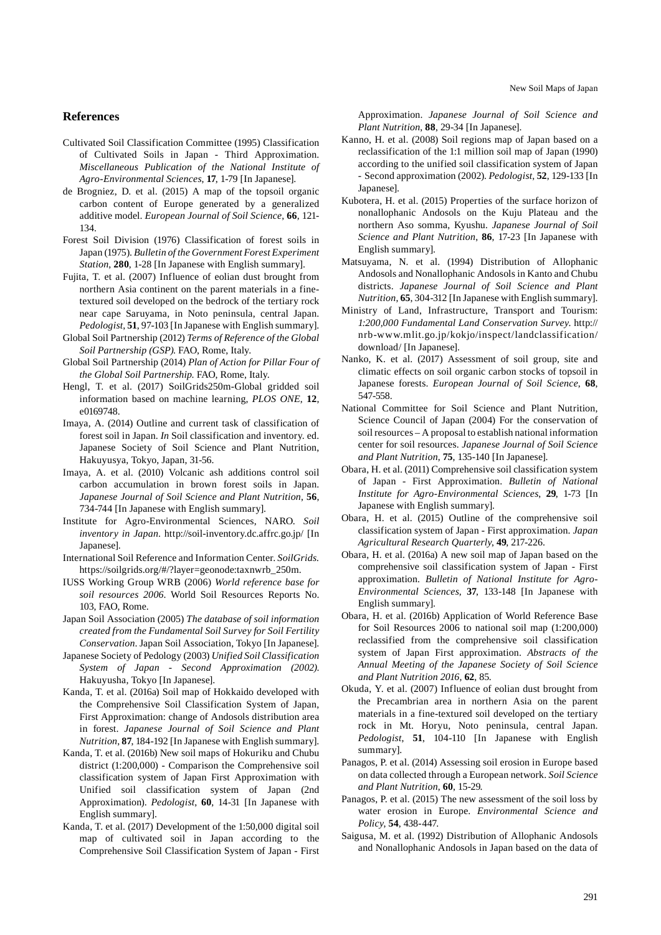### **References**

Cultivated Soil Classification Committee (1995) Classification of Cultivated Soils in Japan - Third Approximation. *Miscellaneous Publication of the National Institute of Agro-Environmental Sciences*, **17**, 1-79 [In Japanese].

- de Brogniez, D. et al. (2015) A map of the topsoil organic carbon content of Europe generated by a generalized additive model. *European Journal of Soil Science*, **66**, 121- 134.
- Forest Soil Division (1976) Classification of forest soils in Japan (1975). *Bulletin of the Government Forest Experiment Station*, **280**, 1-28 [In Japanese with English summary].
- Fujita, T. et al. (2007) Influence of eolian dust brought from northern Asia continent on the parent materials in a finetextured soil developed on the bedrock of the tertiary rock near cape Saruyama, in Noto peninsula, central Japan. *Pedologist*, **51**, 97-103 [In Japanese with English summary].
- Global Soil Partnership (2012) *Terms of Reference of the Global Soil Partnership (GSP)*. FAO, Rome, Italy.
- Global Soil Partnership (2014) *Plan of Action for Pillar Four of the Global Soil Partnership*. FAO, Rome, Italy.
- Hengl, T. et al. (2017) SoilGrids250m-Global gridded soil information based on machine learning, *PLOS ONE*, **12**, e0169748.
- Imaya, A. (2014) Outline and current task of classification of forest soil in Japan. *In* Soil classification and inventory. ed. Japanese Society of Soil Science and Plant Nutrition, Hakuyusya, Tokyo, Japan, 31-56.
- Imaya, A. et al. (2010) Volcanic ash additions control soil carbon accumulation in brown forest soils in Japan. *Japanese Journal of Soil Science and Plant Nutrition*, **56**, 734-744 [In Japanese with English summary].
- Institute for Agro-Environmental Sciences, NARO. *Soil inventory in Japan*. http://soil-inventory.dc.affrc.go.jp/ [In Japanese].
- International Soil Reference and Information Center. *SoilGrids.*  https://soilgrids.org/#/?layer=geonode:taxnwrb\_250m.
- IUSS Working Group WRB (2006) *World reference base for soil resources 2006*. World Soil Resources Reports No. 103, FAO, Rome.
- Japan Soil Association (2005) *The database of soil information created from the Fundamental Soil Survey for Soil Fertility Conservation*. Japan Soil Association, Tokyo [In Japanese].
- Japanese Society of Pedology (2003) *Unified Soil Classification System of Japan - Second Approximation (2002)*. Hakuyusha, Tokyo [In Japanese].
- Kanda, T. et al. (2016a) Soil map of Hokkaido developed with the Comprehensive Soil Classification System of Japan, First Approximation: change of Andosols distribution area in forest. *Japanese Journal of Soil Science and Plant Nutrition*, **87**, 184-192 [In Japanese with English summary].
- Kanda, T. et al. (2016b) New soil maps of Hokuriku and Chubu district (1:200,000) - Comparison the Comprehensive soil classification system of Japan First Approximation with Unified soil classification system of Japan (2nd Approximation). *Pedologist*, **60**, 14-31 [In Japanese with English summary].
- Kanda, T. et al. (2017) Development of the 1:50,000 digital soil map of cultivated soil in Japan according to the Comprehensive Soil Classification System of Japan - First

Approximation. *Japanese Journal of Soil Science and Plant Nutrition*, **88**, 29-34 [In Japanese].

- Kanno, H. et al. (2008) Soil regions map of Japan based on a reclassification of the 1:1 million soil map of Japan (1990) according to the unified soil classification system of Japan - Second approximation (2002). *Pedologist*, **52**, 129-133 [In Japanese].
- Kubotera, H. et al. (2015) Properties of the surface horizon of nonallophanic Andosols on the Kuju Plateau and the northern Aso somma, Kyushu. *Japanese Journal of Soil Science and Plant Nutrition*, **86**, 17-23 [In Japanese with English summary].
- Matsuyama, N. et al. (1994) Distribution of Allophanic Andosols and Nonallophanic Andosols in Kanto and Chubu districts. *Japanese Journal of Soil Science and Plant Nutrition*, **65**, 304-312 [In Japanese with English summary].
- Ministry of Land, Infrastructure, Transport and Tourism: *1:200,000 Fundamental Land Conservation Survey*. http:// nrb-www.mlit.go.jp/kokjo/inspect/landclassification/ download/ [In Japanese].
- Nanko, K. et al. (2017) Assessment of soil group, site and climatic effects on soil organic carbon stocks of topsoil in Japanese forests. *European Journal of Soil Science*, **68**, 547-558.
- National Committee for Soil Science and Plant Nutrition, Science Council of Japan (2004) For the conservation of soil resources – A proposal to establish national information center for soil resources. *Japanese Journal of Soil Science and Plant Nutrition*, **75**, 135-140 [In Japanese].
- Obara, H. et al. (2011) Comprehensive soil classification system of Japan - First Approximation. *Bulletin of National Institute for Agro-Environmental Sciences*, **29**, 1-73 [In Japanese with English summary].
- Obara, H. et al. (2015) Outline of the comprehensive soil classification system of Japan - First approximation. *Japan Agricultural Research Quarterly*, **49**, 217-226.
- Obara, H. et al. (2016a) A new soil map of Japan based on the comprehensive soil classification system of Japan - First approximation. *Bulletin of National Institute for Agro-Environmental Sciences*, **37**, 133-148 [In Japanese with English summary].
- Obara, H. et al. (2016b) Application of World Reference Base for Soil Resources 2006 to national soil map (1:200,000) reclassified from the comprehensive soil classification system of Japan First approximation. *Abstracts of the Annual Meeting of the Japanese Society of Soil Science and Plant Nutrition 2016*, **62**, 85.
- Okuda, Y. et al. (2007) Influence of eolian dust brought from the Precambrian area in northern Asia on the parent materials in a fine-textured soil developed on the tertiary rock in Mt. Horyu, Noto peninsula, central Japan. *Pedologist*, **51**, 104-110 [In Japanese with English summary].
- Panagos, P. et al. (2014) Assessing soil erosion in Europe based on data collected through a European network. *Soil Science and Plant Nutrition*, **60**, 15-29.
- Panagos, P. et al. (2015) The new assessment of the soil loss by water erosion in Europe. *Environmental Science and Policy*, **54**, 438-447.
- Saigusa, M. et al. (1992) Distribution of Allophanic Andosols and Nonallophanic Andosols in Japan based on the data of